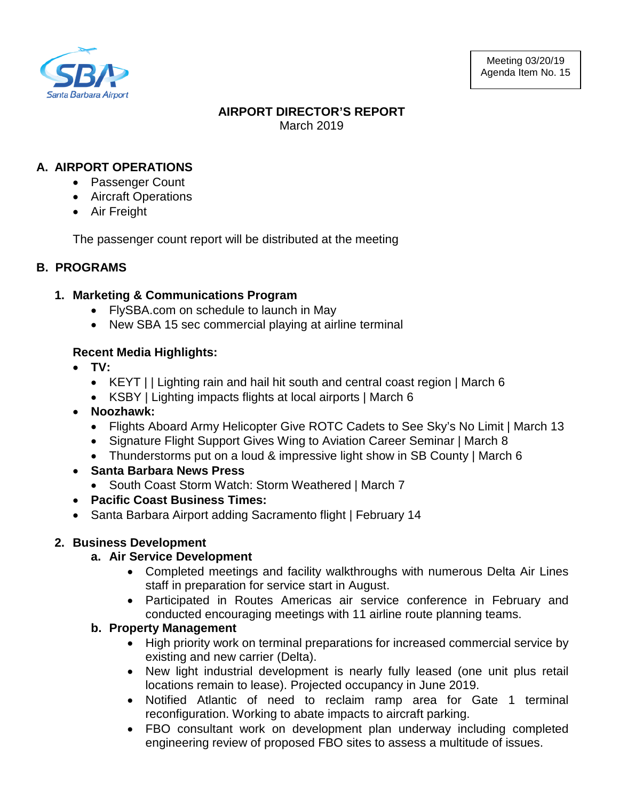

## **AIRPORT DIRECTOR'S REPORT** March 2019

## **A. AIRPORT OPERATIONS**

- Passenger Count
- Aircraft Operations
- Air Freight

The passenger count report will be distributed at the meeting

## **B. PROGRAMS**

## **1. Marketing & Communications Program**

- FlySBA.com on schedule to launch in May
- New SBA 15 sec commercial playing at airline terminal

## **Recent Media Highlights:**

- **TV:** 
	- KEYT | | Lighting rain and hail hit south and central coast region | March 6
	- KSBY | Lighting impacts flights at local airports | March 6
- **Noozhawk:** 
	- Flights Aboard Army Helicopter Give ROTC Cadets to See Sky's No Limit | March 13
	- Signature Flight Support Gives Wing to Aviation Career Seminar | March 8
	- Thunderstorms put on a loud & impressive light show in SB County | March 6
- **Santa Barbara News Press**
	- South Coast Storm Watch: Storm Weathered | March 7
- **Pacific Coast Business Times:**
- Santa Barbara Airport adding Sacramento flight | February 14

## **2. Business Development**

## **a. Air Service Development**

- Completed meetings and facility walkthroughs with numerous Delta Air Lines staff in preparation for service start in August.
- Participated in Routes Americas air service conference in February and conducted encouraging meetings with 11 airline route planning teams.

## **b. Property Management**

- High priority work on terminal preparations for increased commercial service by existing and new carrier (Delta).
- New light industrial development is nearly fully leased (one unit plus retail locations remain to lease). Projected occupancy in June 2019.
- Notified Atlantic of need to reclaim ramp area for Gate 1 terminal reconfiguration. Working to abate impacts to aircraft parking.
- FBO consultant work on development plan underway including completed engineering review of proposed FBO sites to assess a multitude of issues.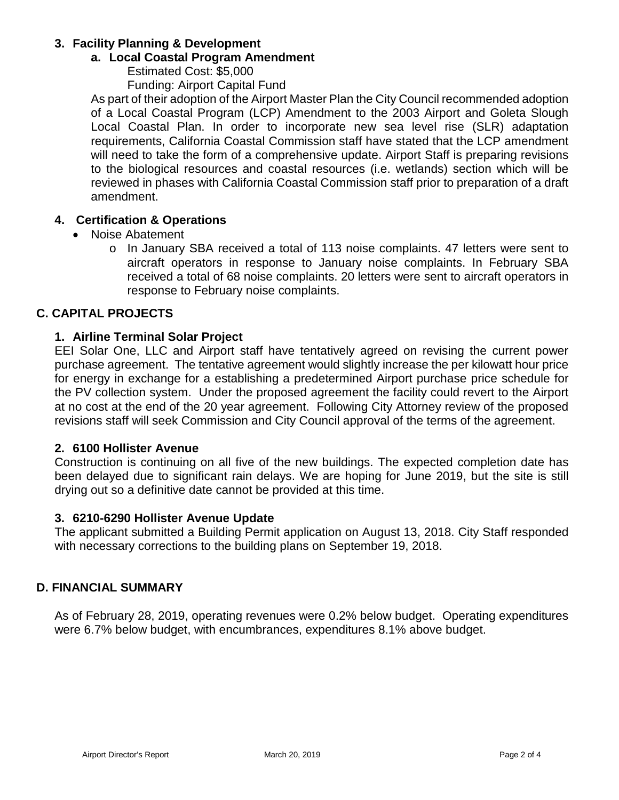## **3. Facility Planning & Development**

#### **a. Local Coastal Program Amendment**

Estimated Cost: \$5,000

Funding: Airport Capital Fund

As part of their adoption of the Airport Master Plan the City Council recommended adoption of a Local Coastal Program (LCP) Amendment to the 2003 Airport and Goleta Slough Local Coastal Plan. In order to incorporate new sea level rise (SLR) adaptation requirements, California Coastal Commission staff have stated that the LCP amendment will need to take the form of a comprehensive update. Airport Staff is preparing revisions to the biological resources and coastal resources (i.e. wetlands) section which will be reviewed in phases with California Coastal Commission staff prior to preparation of a draft amendment.

#### **4. Certification & Operations**

- Noise Abatement
	- o In January SBA received a total of 113 noise complaints. 47 letters were sent to aircraft operators in response to January noise complaints. In February SBA received a total of 68 noise complaints. 20 letters were sent to aircraft operators in response to February noise complaints.

## **C. CAPITAL PROJECTS**

#### **1. Airline Terminal Solar Project**

EEI Solar One, LLC and Airport staff have tentatively agreed on revising the current power purchase agreement. The tentative agreement would slightly increase the per kilowatt hour price for energy in exchange for a establishing a predetermined Airport purchase price schedule for the PV collection system. Under the proposed agreement the facility could revert to the Airport at no cost at the end of the 20 year agreement. Following City Attorney review of the proposed revisions staff will seek Commission and City Council approval of the terms of the agreement.

#### **2. 6100 Hollister Avenue**

Construction is continuing on all five of the new buildings. The expected completion date has been delayed due to significant rain delays. We are hoping for June 2019, but the site is still drying out so a definitive date cannot be provided at this time.

#### **3. 6210-6290 Hollister Avenue Update**

The applicant submitted a Building Permit application on August 13, 2018. City Staff responded with necessary corrections to the building plans on September 19, 2018.

#### **D. FINANCIAL SUMMARY**

As of February 28, 2019, operating revenues were 0.2% below budget. Operating expenditures were 6.7% below budget, with encumbrances, expenditures 8.1% above budget.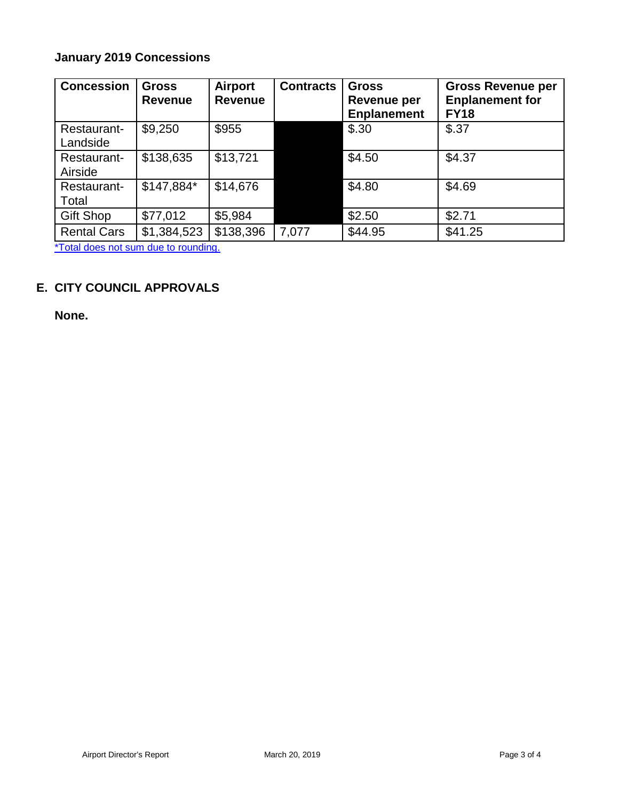# **January 2019 Concessions**

| <b>Concession</b>       | <b>Gross</b><br><b>Revenue</b> | Airport<br><b>Revenue</b> | <b>Contracts</b> | <b>Gross</b><br>Revenue per<br><b>Enplanement</b> | <b>Gross Revenue per</b><br><b>Enplanement for</b><br><b>FY18</b> |
|-------------------------|--------------------------------|---------------------------|------------------|---------------------------------------------------|-------------------------------------------------------------------|
| Restaurant-<br>Landside | \$9,250                        | \$955                     |                  | \$.30                                             | \$.37                                                             |
| Restaurant-<br>Airside  | \$138,635                      | \$13,721                  |                  | \$4.50                                            | \$4.37                                                            |
| Restaurant-<br>Total    | \$147,884*                     | \$14,676                  |                  | \$4.80                                            | \$4.69                                                            |
| <b>Gift Shop</b>        | \$77,012                       | \$5,984                   |                  | \$2.50                                            | \$2.71                                                            |
| <b>Rental Cars</b>      | \$1,384,523                    | \$138,396                 | 7,077            | \$44.95                                           | \$41.25                                                           |

\*Total does not sum due to rounding.

## **E. CITY COUNCIL APPROVALS**

**None.**